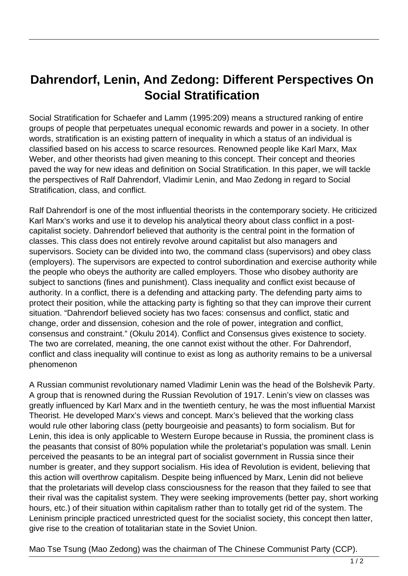## **Dahrendorf, Lenin, And Zedong: Different Perspectives On Social Stratification**

Social Stratification for Schaefer and Lamm (1995:209) means a structured ranking of entire groups of people that perpetuates unequal economic rewards and power in a society. In other words, stratification is an existing pattern of inequality in which a status of an individual is classified based on his access to scarce resources. Renowned people like Karl Marx, Max Weber, and other theorists had given meaning to this concept. Their concept and theories paved the way for new ideas and definition on Social Stratification. In this paper, we will tackle the perspectives of Ralf Dahrendorf, Vladimir Lenin, and Mao Zedong in regard to Social Stratification, class, and conflict.

Ralf Dahrendorf is one of the most influential theorists in the contemporary society. He criticized Karl Marx's works and use it to develop his analytical theory about class conflict in a postcapitalist society. Dahrendorf believed that authority is the central point in the formation of classes. This class does not entirely revolve around capitalist but also managers and supervisors. Society can be divided into two, the command class (supervisors) and obey class (employers). The supervisors are expected to control subordination and exercise authority while the people who obeys the authority are called employers. Those who disobey authority are subject to sanctions (fines and punishment). Class inequality and conflict exist because of authority. In a conflict, there is a defending and attacking party. The defending party aims to protect their position, while the attacking party is fighting so that they can improve their current situation. "Dahrendorf believed society has two faces: consensus and conflict, static and change, order and dissension, cohesion and the role of power, integration and conflict, consensus and constraint." (Okulu 2014). Conflict and Consensus gives existence to society. The two are correlated, meaning, the one cannot exist without the other. For Dahrendorf, conflict and class inequality will continue to exist as long as authority remains to be a universal phenomenon

A Russian communist revolutionary named Vladimir Lenin was the head of the Bolshevik Party. A group that is renowned during the Russian Revolution of 1917. Lenin's view on classes was greatly influenced by Karl Marx and in the twentieth century, he was the most influential Marxist Theorist. He developed Marx's views and concept. Marx's believed that the working class would rule other laboring class (petty bourgeoisie and peasants) to form socialism. But for Lenin, this idea is only applicable to Western Europe because in Russia, the prominent class is the peasants that consist of 80% population while the proletariat's population was small. Lenin perceived the peasants to be an integral part of socialist government in Russia since their number is greater, and they support socialism. His idea of Revolution is evident, believing that this action will overthrow capitalism. Despite being influenced by Marx, Lenin did not believe that the proletariats will develop class consciousness for the reason that they failed to see that their rival was the capitalist system. They were seeking improvements (better pay, short working hours, etc.) of their situation within capitalism rather than to totally get rid of the system. The Leninism principle practiced unrestricted quest for the socialist society, this concept then latter, give rise to the creation of totalitarian state in the Soviet Union.

Mao Tse Tsung (Mao Zedong) was the chairman of The Chinese Communist Party (CCP).